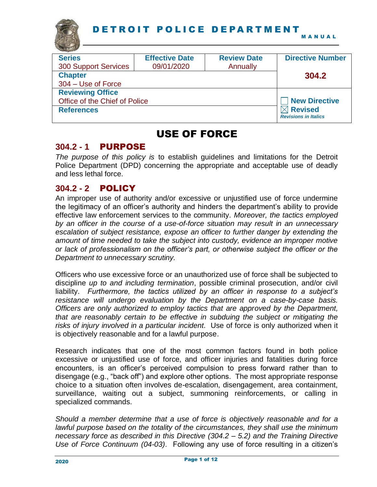

| the party of the local division in |                       |                    |                             |
|------------------------------------|-----------------------|--------------------|-----------------------------|
| <b>Series</b>                      | <b>Effective Date</b> | <b>Review Date</b> | <b>Directive Number</b>     |
| <b>300 Support Services</b>        | 09/01/2020            | Annually           |                             |
| <b>Chapter</b>                     |                       |                    | 304.2                       |
| 304 – Use of Force                 |                       |                    |                             |
| <b>Reviewing Office</b>            |                       |                    |                             |
| Office of the Chief of Police      |                       |                    | <b>New Directive</b>        |
| <b>References</b>                  |                       |                    | <b>Revised</b>              |
|                                    |                       |                    | <b>Revisions in Italics</b> |

# USE OF FORCE

## **304.2 - 1** PURPOSE

*The purpose of this policy is* to establish guidelines and limitations for the Detroit Police Department (DPD) concerning the appropriate and acceptable use of deadly and less lethal force.

## **304.2 - 2** POLICY

An improper use of authority and/or excessive or unjustified use of force undermine the legitimacy of an officer's authority and hinders the department's ability to provide effective law enforcement services to the community. *Moreover, the tactics employed by an officer in the course of a use-of-force situation may result in an unnecessary escalation of subject resistance, expose an officer to further danger by extending the amount of time needed to take the subject into custody, evidence an improper motive or lack of professionalism on the officer's part, or otherwise subject the officer or the Department to unnecessary scrutiny.*

Officers who use excessive force or an unauthorized use of force shall be subjected to discipline *up to and including termination*, possible criminal prosecution, and/or civil liability. *Furthermore, the tactics utilized by an officer in response to a subject's resistance will undergo evaluation by the Department on a case-by-case basis. Officers are only authorized to employ tactics that are approved by the Department, that are reasonably certain to be effective in subduing the subject or mitigating the risks of injury involved in a particular incident.* Use of force is only authorized when it is objectively reasonable and for a lawful purpose.

Research indicates that one of the most common factors found in both police excessive or unjustified use of force, and officer injuries and fatalities during force encounters, is an officer's perceived compulsion to press forward rather than to disengage (e.g., "back off") and explore other options. The most appropriate response choice to a situation often involves de-escalation, disengagement, area containment, surveillance, waiting out a subject, summoning reinforcements, or calling in specialized commands.

*Should a member determine that a use of force is objectively reasonable and for a lawful purpose based on the totality of the circumstances, they shall use the minimum necessary force as described in this Directive (304.2 – 5.2) and the Training Directive Use of Force Continuum (04-03)*. Following any use of force resulting in a citizen's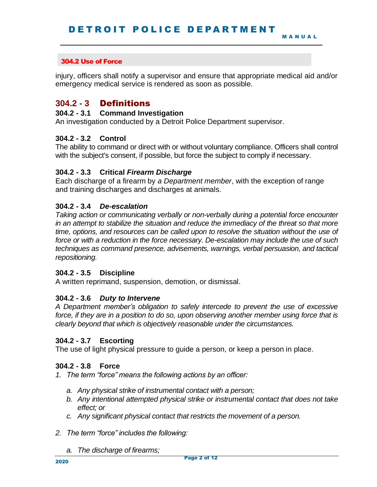injury, officers shall notify a supervisor and ensure that appropriate medical aid and/or emergency medical service is rendered as soon as possible.

## **304.2 - 3** Definitions

## **304.2 - 3.1 Command Investigation**

An investigation conducted by a Detroit Police Department supervisor.

## **304.2 - 3.2 Control**

The ability to command or direct with or without voluntary compliance. Officers shall control with the subject's consent, if possible, but force the subject to comply if necessary.

## **304.2 - 3.3 Critical** *Firearm Discharge*

Each discharge of a firearm by *a Department member*, with the exception of range and training discharges and discharges at animals.

## **304.2 - 3.4** *De-escalation*

*Taking action or communicating verbally or non-verbally during a potential force encounter in an attempt to stabilize the situation and reduce the immediacy of the threat so that more time, options, and resources can be called upon to resolve the situation without the use of force or with a reduction in the force necessary. De-escalation may include the use of such techniques as command presence, advisements, warnings, verbal persuasion, and tactical repositioning.*

## **304.2 - 3.5 Discipline**

A written reprimand, suspension, demotion, or dismissal.

#### **304.2 - 3.6** *Duty to Intervene*

*A Department member's obligation to safely intercede to prevent the use of excessive force, if they are in a position to do so, upon observing another member using force that is clearly beyond that which is objectively reasonable under the circumstances.*

#### **304.2 - 3.7 Escorting**

The use of light physical pressure to guide a person, or keep a person in place.

#### **304.2 - 3.8 Force**

- *1. The term "force" means the following actions by an officer:*
	- *a. Any physical strike of instrumental contact with a person;*
	- *b. Any intentional attempted physical strike or instrumental contact that does not take effect; or*
	- *c. Any significant physical contact that restricts the movement of a person.*
- *2. The term "force" includes the following:*
	- *a. The discharge of firearms;*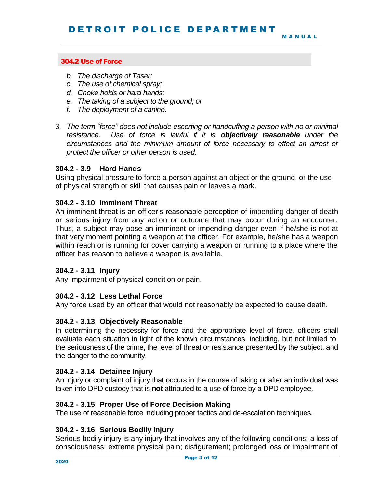M A N U A L

## 304.2 Use of Force

- *b. The discharge of Taser;*
- *c. The use of chemical spray;*
- *d. Choke holds or hard hands;*
- *e. The taking of a subject to the ground; or*
- *f. The deployment of a canine.*
- *3. The term "force" does not include escorting or handcuffing a person with no or minimal resistance. Use of force is lawful if it is objectively reasonable under the circumstances and the minimum amount of force necessary to effect an arrest or protect the officer or other person is used.*

## **304.2 - 3.9 Hard Hands**

Using physical pressure to force a person against an object or the ground, or the use of physical strength or skill that causes pain or leaves a mark.

#### **304.2 - 3.10 Imminent Threat**

An imminent threat is an officer's reasonable perception of impending danger of death or serious injury from any action or outcome that may occur during an encounter. Thus, a subject may pose an imminent or impending danger even if he/she is not at that very moment pointing a weapon at the officer. For example, he/she has a weapon within reach or is running for cover carrying a weapon or running to a place where the officer has reason to believe a weapon is available.

#### **304.2 - 3.11 Injury**

Any impairment of physical condition or pain.

## **304.2 - 3.12 Less Lethal Force**

Any force used by an officer that would not reasonably be expected to cause death.

## **304.2 - 3.13 Objectively Reasonable**

In determining the necessity for force and the appropriate level of force, officers shall evaluate each situation in light of the known circumstances, including, but not limited to, the seriousness of the crime, the level of threat or resistance presented by the subject, and the danger to the community.

#### **304.2 - 3.14 Detainee Injury**

An injury or complaint of injury that occurs in the course of taking or after an individual was taken into DPD custody that is **not** attributed to a use of force by a DPD employee.

#### **304.2 - 3.15 Proper Use of Force Decision Making**

The use of reasonable force including proper tactics and de-escalation techniques.

## **304.2 - 3.16 Serious Bodily Injury**

Serious bodily injury is any injury that involves any of the following conditions: a loss of consciousness; extreme physical pain; disfigurement; prolonged loss or impairment of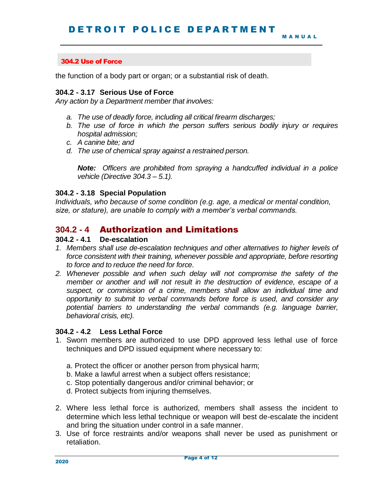the function of a body part or organ; or a substantial risk of death.

### **304.2 - 3.17 Serious Use of Force**

*Any action by a Department member that involves:*

- *a. The use of deadly force, including all critical firearm discharges;*
- *b. The use of force in which the person suffers serious bodily injury or requires hospital admission;*
- *c. A canine bite; and*
- *d. The use of chemical spray against a restrained person.*

*Note: Officers are prohibited from spraying a handcuffed individual in a police vehicle (Directive 304.3 – 5.1).*

#### **304.2 - 3.18 Special Population**

*Individuals, who because of some condition (e.g. age, a medical or mental condition, size, or stature), are unable to comply with a member's verbal commands.* 

## **304.2 - 4** Authorization and Limitations

## **304.2 - 4.1 De-escalation**

- *1. Members shall use de-escalation techniques and other alternatives to higher levels of force consistent with their training, whenever possible and appropriate, before resorting to force and to reduce the need for force.*
- *2. Whenever possible and when such delay will not compromise the safety of the member or another and will not result in the destruction of evidence, escape of a suspect, or commission of a crime, members shall allow an individual time and opportunity to submit to verbal commands before force is used, and consider any potential barriers to understanding the verbal commands (e.g. language barrier, behavioral crisis, etc).*

#### **304.2 - 4.2 Less Lethal Force**

- 1. Sworn members are authorized to use DPD approved less lethal use of force techniques and DPD issued equipment where necessary to:
	- a. Protect the officer or another person from physical harm;
	- b. Make a lawful arrest when a subject offers resistance;
	- c. Stop potentially dangerous and/or criminal behavior; or
	- d. Protect subjects from injuring themselves.
- 2. Where less lethal force is authorized, members shall assess the incident to determine which less lethal technique or weapon will best de-escalate the incident and bring the situation under control in a safe manner.
- 3. Use of force restraints and/or weapons shall never be used as punishment or retaliation.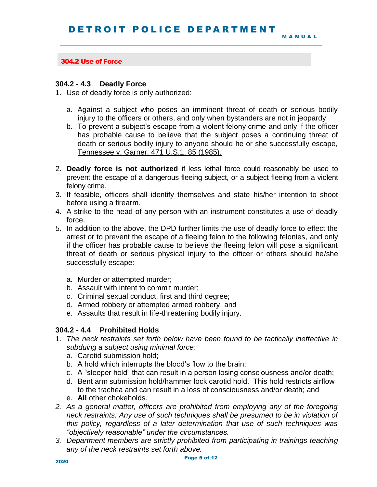#### **304.2 - 4.3 Deadly Force**

1. Use of deadly force is only authorized:

- a. Against a subject who poses an imminent threat of death or serious bodily injury to the officers or others, and only when bystanders are not in jeopardy;
- b. To prevent a subject's escape from a violent felony crime and only if the officer has probable cause to believe that the subject poses a continuing threat of death or serious bodily injury to anyone should he or she successfully escape, Tennessee v. Garner, 471 U.S.1, 85 (1985).
- 2. **Deadly force is not authorized** if less lethal force could reasonably be used to prevent the escape of a dangerous fleeing subject, or a subject fleeing from a violent felony crime.
- 3. If feasible, officers shall identify themselves and state his/her intention to shoot before using a firearm.
- 4. A strike to the head of any person with an instrument constitutes a use of deadly force.
- 5. In addition to the above, the DPD further limits the use of deadly force to effect the arrest or to prevent the escape of a fleeing felon to the following felonies, and only if the officer has probable cause to believe the fleeing felon will pose a significant threat of death or serious physical injury to the officer or others should he/she successfully escape:
	- a. Murder or attempted murder;
	- b. Assault with intent to commit murder;
	- c. Criminal sexual conduct, first and third degree;
	- d. Armed robbery or attempted armed robbery, and
	- e. Assaults that result in life-threatening bodily injury.

## **304.2 - 4.4 Prohibited Holds**

- 1. *The neck restraints set forth below have been found to be tactically ineffective in subduing a subject using minimal force*:
	- a. Carotid submission hold;
	- b. A hold which interrupts the blood's flow to the brain;
	- c. A "sleeper hold" that can result in a person losing consciousness and/or death;
	- d. Bent arm submission hold/hammer lock carotid hold. This hold restricts airflow to the trachea and can result in a loss of consciousness and/or death; and
	- e. **All** other chokeholds.
- *2. As a general matter, officers are prohibited from employing any of the foregoing neck restraints. Any use of such techniques shall be presumed to be in violation of this policy, regardless of a later determination that use of such techniques was "objectively reasonable" under the circumstances.*
- *3. Department members are strictly prohibited from participating in trainings teaching any of the neck restraints set forth above.*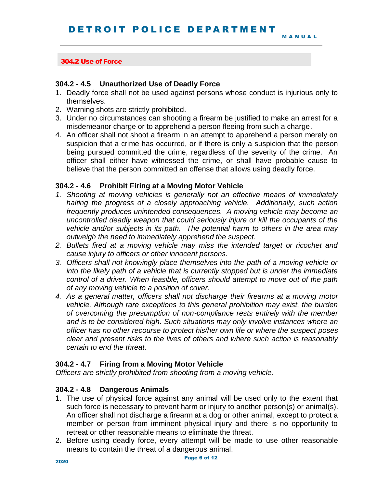## **304.2 - 4.5 Unauthorized Use of Deadly Force**

- 1. Deadly force shall not be used against persons whose conduct is injurious only to themselves.
- 2. Warning shots are strictly prohibited.
- 3. Under no circumstances can shooting a firearm be justified to make an arrest for a misdemeanor charge or to apprehend a person fleeing from such a charge.
- 4. An officer shall not shoot a firearm in an attempt to apprehend a person merely on suspicion that a crime has occurred, or if there is only a suspicion that the person being pursued committed the crime, regardless of the severity of the crime. An officer shall either have witnessed the crime, or shall have probable cause to believe that the person committed an offense that allows using deadly force.

## **304.2 - 4.6 Prohibit Firing at a Moving Motor Vehicle**

- *1. Shooting at moving vehicles is generally not an effective means of immediately halting the progress of a closely approaching vehicle. Additionally, such action frequently produces unintended consequences. A moving vehicle may become an uncontrolled deadly weapon that could seriously injure or kill the occupants of the vehicle and/or subjects in its path. The potential harm to others in the area may outweigh the need to immediately apprehend the suspect.*
- *2. Bullets fired at a moving vehicle may miss the intended target or ricochet and cause injury to officers or other innocent persons.*
- *3. Officers shall not knowingly place themselves into the path of a moving vehicle or into the likely path of a vehicle that is currently stopped but is under the immediate control of a driver. When feasible, officers should attempt to move out of the path of any moving vehicle to a position of cover.*
- *4. As a general matter, officers shall not discharge their firearms at a moving motor vehicle. Although rare exceptions to this general prohibition may exist, the burden of overcoming the presumption of non-compliance rests entirely with the member and is to be considered high. Such situations may only involve instances where an officer has no other recourse to protect his/her own life or where the suspect poses clear and present risks to the lives of others and where such action is reasonably certain to end the threat.*

## **304.2 - 4.7 Firing from a Moving Motor Vehicle**

*Officers are strictly prohibited from shooting from a moving vehicle.* 

## **304.2 - 4.8 Dangerous Animals**

- 1. The use of physical force against any animal will be used only to the extent that such force is necessary to prevent harm or injury to another person(s) or animal(s). An officer shall not discharge a firearm at a dog or other animal, except to protect a member or person from imminent physical injury and there is no opportunity to retreat or other reasonable means to eliminate the threat.
- 2. Before using deadly force, every attempt will be made to use other reasonable means to contain the threat of a dangerous animal.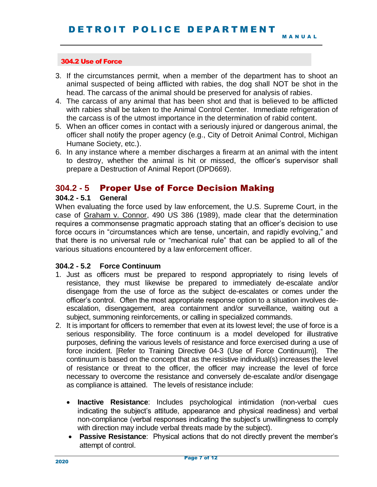- 3. If the circumstances permit, when a member of the department has to shoot an animal suspected of being afflicted with rabies, the dog shall NOT be shot in the head. The carcass of the animal should be preserved for analysis of rabies.
- 4. The carcass of any animal that has been shot and that is believed to be afflicted with rabies shall be taken to the Animal Control Center. Immediate refrigeration of the carcass is of the utmost importance in the determination of rabid content.
- 5. When an officer comes in contact with a seriously injured or dangerous animal, the officer shall notify the proper agency (e.g., City of Detroit Animal Control, Michigan Humane Society, etc.).
- 6. In any instance where a member discharges a firearm at an animal with the intent to destroy, whether the animal is hit or missed, the officer's supervisor shall prepare a Destruction of Animal Report (DPD669).

## **304.2 - 5** Proper Use of Force Decision Making

#### **304.2 - 5.1 General**

When evaluating the force used by law enforcement, the U.S. Supreme Court, in the case of Graham v. Connor, 490 US 386 (1989), made clear that the determination requires a commonsense pragmatic approach stating that an officer's decision to use force occurs in "circumstances which are tense, uncertain, and rapidly evolving," and that there is no universal rule or "mechanical rule" that can be applied to all of the various situations encountered by a law enforcement officer.

#### **304.2 - 5.2 Force Continuum**

- 1. Just as officers must be prepared to respond appropriately to rising levels of resistance, they must likewise be prepared to immediately de-escalate and/or disengage from the use of force as the subject de-escalates or comes under the officer's control. Often the most appropriate response option to a situation involves deescalation, disengagement, area containment and/or surveillance, waiting out a subject, summoning reinforcements, or calling in specialized commands.
- 2. It is important for officers to remember that even at its lowest level; the use of force is a serious responsibility. The force continuum is a model developed for illustrative purposes, defining the various levels of resistance and force exercised during a use of force incident. [Refer to Training Directive 04-3 (Use of Force Continuum)]. The continuum is based on the concept that as the resistive individual(s) increases the level of resistance or threat to the officer, the officer may increase the level of force necessary to overcome the resistance and conversely de-escalate and/or disengage as compliance is attained. The levels of resistance include:
	- **Inactive Resistance**: Includes psychological intimidation (non-verbal cues indicating the subject's attitude, appearance and physical readiness) and verbal non-compliance (verbal responses indicating the subject's unwillingness to comply with direction may include verbal threats made by the subject).
	- **Passive Resistance**: Physical actions that do not directly prevent the member's attempt of control.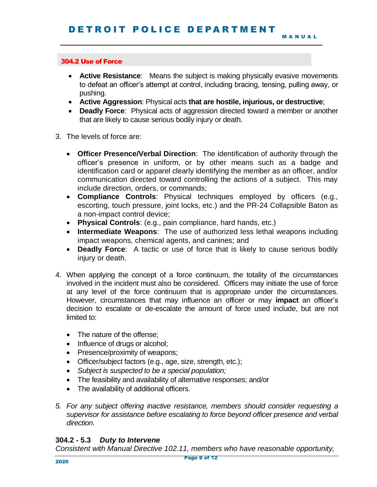- **Active Resistance**: Means the subject is making physically evasive movements to defeat an officer's attempt at control, including bracing, tensing, pulling away, or pushing.
- **Active Aggression**: Physical acts **that are hostile, injurious, or destructive**;
- **Deadly Force**: Physical acts of aggression directed toward a member or another that are likely to cause serious bodily injury or death.
- 3. The levels of force are:
	- **Officer Presence/Verbal Direction**: The identification of authority through the officer's presence in uniform, or by other means such as a badge and identification card or apparel clearly identifying the member as an officer, and/or communication directed toward controlling the actions of a subject. This may include direction, orders, or commands;
	- **Compliance Controls**: Physical techniques employed by officers (e.g., escorting, touch pressure, joint locks, etc.) and the PR-24 Collapsible Baton as a non-impact control device;
	- **Physical Controls**: (e.g., pain compliance, hard hands, etc.)
	- **Intermediate Weapons**: The use of authorized less lethal weapons including impact weapons, chemical agents, and canines; and
	- **Deadly Force**: A tactic or use of force that is likely to cause serious bodily injury or death.
- 4. When applying the concept of a force continuum, the totality of the circumstances involved in the incident must also be considered. Officers may initiate the use of force at any level of the force continuum that is appropriate under the circumstances. However, circumstances that may influence an officer or may **impact** an officer's decision to escalate or de-escalate the amount of force used include, but are not limited to:
	- The nature of the offense;
	- Influence of drugs or alcohol;
	- Presence/proximity of weapons;
	- Officer/subject factors (e.g., age, size, strength, etc.);
	- *Subject is suspected to be a special population;*
	- The feasibility and availability of alternative responses; and/or
	- The availability of additional officers.
- *5. For any subject offering inactive resistance, members should consider requesting a supervisor for assistance before escalating to force beyond officer presence and verbal direction.*

#### **304.2 - 5.3** *Duty to Intervene*

*Consistent with Manual Directive 102.11, members who have reasonable opportunity,*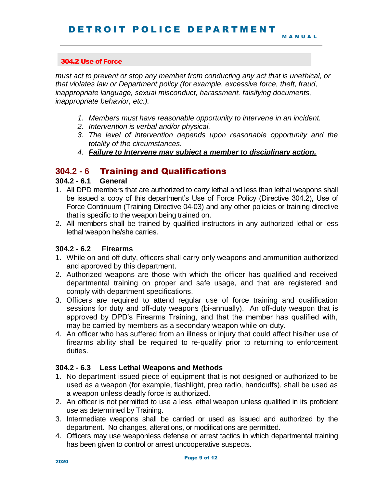*must act to prevent or stop any member from conducting any act that is unethical, or that violates law or Department policy (for example, excessive force, theft, fraud, inappropriate language, sexual misconduct, harassment, falsifying documents, inappropriate behavior, etc.).* 

- *1. Members must have reasonable opportunity to intervene in an incident.*
- *2. Intervention is verbal and/or physical.*
- *3. The level of intervention depends upon reasonable opportunity and the totality of the circumstances.*
- *4. Failure to Intervene may subject a member to disciplinary action.*

## **304.2 - 6** Training and Qualifications

## **304.2 - 6.1 General**

- 1. All DPD members that are authorized to carry lethal and less than lethal weapons shall be issued a copy of this department's Use of Force Policy (Directive 304.2), Use of Force Continuum (Training Directive 04-03) and any other policies or training directive that is specific to the weapon being trained on.
- 2. All members shall be trained by qualified instructors in any authorized lethal or less lethal weapon he/she carries.

## **304.2 - 6.2 Firearms**

- 1. While on and off duty, officers shall carry only weapons and ammunition authorized and approved by this department.
- 2. Authorized weapons are those with which the officer has qualified and received departmental training on proper and safe usage, and that are registered and comply with department specifications.
- 3. Officers are required to attend regular use of force training and qualification sessions for duty and off-duty weapons (bi-annually). An off-duty weapon that is approved by DPD's Firearms Training, and that the member has qualified with, may be carried by members as a secondary weapon while on-duty.
- 4. An officer who has suffered from an illness or injury that could affect his/her use of firearms ability shall be required to re-qualify prior to returning to enforcement duties.

## **304.2 - 6.3 Less Lethal Weapons and Methods**

- 1. No department issued piece of equipment that is not designed or authorized to be used as a weapon (for example, flashlight, prep radio, handcuffs), shall be used as a weapon unless deadly force is authorized.
- 2. An officer is not permitted to use a less lethal weapon unless qualified in its proficient use as determined by Training.
- 3. Intermediate weapons shall be carried or used as issued and authorized by the department. No changes, alterations, or modifications are permitted.
- 4. Officers may use weaponless defense or arrest tactics in which departmental training has been given to control or arrest uncooperative suspects.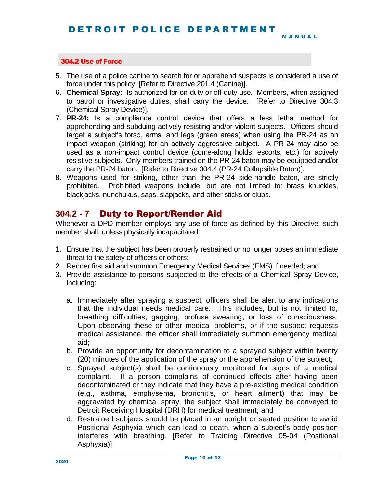- 5. The use of a police canine to search for or apprehend suspects is considered a use of force under this policy. [Refer to Directive 201.4 (Canine)].
- 6. **Chemical Spray:** Is authorized for on-duty or off-duty use. Members, when assigned to patrol or investigative duties, shall carry the device. [Refer to Directive 304.3 (Chemical Spray Device)].
- 7. **PR-24:** Is a compliance control device that offers a less lethal method for apprehending and subduing actively resisting and/or violent subjects. Officers should target a subject's torso, arms, and legs (green areas) when using the PR-24 as an impact weapon (striking) for an actively aggressive subject. A PR-24 may also be used as a non-impact control device (come-along holds, escorts, etc.) for actively resistive subjects. Only members trained on the PR-24 baton may be equipped and/or carry the PR-24 baton. [Refer to Directive 304.4 (PR-24 Collapsible Baton)].
- 8. Weapons used for striking, other than the PR-24 side-handle baton, are strictly prohibited. Prohibited weapons include, but are not limited to: brass knuckles, blackjacks, nunchukus, saps, slapjacks, and other sticks or clubs.

## **304.2 - 7** Duty to Report/Render Aid

Whenever a DPD member employs any use of force as defined by this Directive, such member shall, unless physically incapacitated:

- 1. Ensure that the subject has been properly restrained or no longer poses an immediate threat to the safety of officers or others;
- 2. Render first aid and summon Emergency Medical Services (EMS) if needed; and
- 3. Provide assistance to persons subjected to the effects of a Chemical Spray Device, including:
	- a. Immediately after spraying a suspect, officers shall be alert to any indications that the individual needs medical care. This includes, but is not limited to, breathing difficulties, gagging, profuse sweating, or loss of consciousness. Upon observing these or other medical problems, or if the suspect requests medical assistance, the officer shall immediately summon emergency medical aid;
	- b. Provide an opportunity for decontamination to a sprayed subject within twenty (20) minutes of the application of the spray or the apprehension of the subject;
	- c. Sprayed subject(s) shall be continuously monitored for signs of a medical complaint. If a person complains of continued effects after having been decontaminated or they indicate that they have a pre-existing medical condition (e.g., asthma, emphysema, bronchitis, or heart ailment) that may be aggravated by chemical spray, the subject shall immediately be conveyed to Detroit Receiving Hospital (DRH) for medical treatment; and
	- d. Restrained subjects should be placed in an upright or seated position to avoid Positional Asphyxia which can lead to death, when a subject's body position interferes with breathing. [Refer to Training Directive 05-04 (Positional Asphyxia)].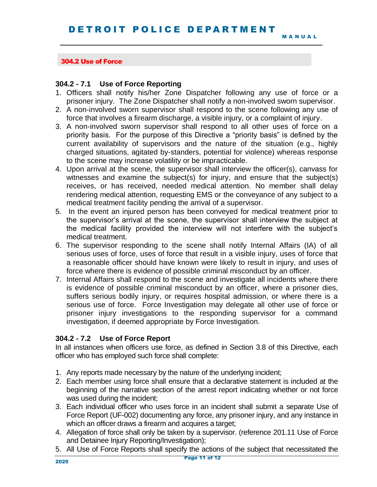#### **304.2 - 7.1 Use of Force Reporting**

- 1. Officers shall notify his/her Zone Dispatcher following any use of force or a prisoner injury. The Zone Dispatcher shall notify a non-involved sworn supervisor.
- 2. A non-involved sworn supervisor shall respond to the scene following any use of force that involves a firearm discharge, a visible injury, or a complaint of injury.
- 3. A non-involved sworn supervisor shall respond to all other uses of force on a priority basis. For the purpose of this Directive a "priority basis" is defined by the current availability of supervisors and the nature of the situation (e.g., highly charged situations, agitated by-standers, potential for violence) whereas response to the scene may increase volatility or be impracticable.
- 4. Upon arrival at the scene, the supervisor shall interview the officer(s), canvass for witnesses and examine the subject(s) for injury, and ensure that the subject(s) receives, or has received, needed medical attention. No member shall delay rendering medical attention, requesting EMS or the conveyance of any subject to a medical treatment facility pending the arrival of a supervisor.
- 5. In the event an injured person has been conveyed for medical treatment prior to the supervisor's arrival at the scene, the supervisor shall interview the subject at the medical facility provided the interview will not interfere with the subject's medical treatment.
- 6. The supervisor responding to the scene shall notify Internal Affairs (IA) of all serious uses of force, uses of force that result in a visible injury, uses of force that a reasonable officer should have known were likely to result in injury, and uses of force where there is evidence of possible criminal misconduct by an officer.
- 7. Internal Affairs shall respond to the scene and investigate all incidents where there is evidence of possible criminal misconduct by an officer, where a prisoner dies, suffers serious bodily injury, or requires hospital admission, or where there is a serious use of force. Force Investigation may delegate all other use of force or prisoner injury investigations to the responding supervisor for a command investigation, if deemed appropriate by Force Investigation.

#### **304.2 - 7.2 Use of Force Report**

In all instances when officers use force, as defined in Section 3.8 of this Directive, each officer who has employed such force shall complete:

- 1. Any reports made necessary by the nature of the underlying incident;
- 2. Each member using force shall ensure that a declarative statement is included at the beginning of the narrative section of the arrest report indicating whether or not force was used during the incident;
- 3. Each individual officer who uses force in an incident shall submit a separate Use of Force Report (UF-002) documenting any force, any prisoner injury, and any instance in which an officer draws a firearm and acquires a target;
- 4. Allegation of force shall only be taken by a supervisor. (reference 201.11 Use of Force and Detainee Injury Reporting/Investigation);
- 5. All Use of Force Reports shall specify the actions of the subject that necessitated the